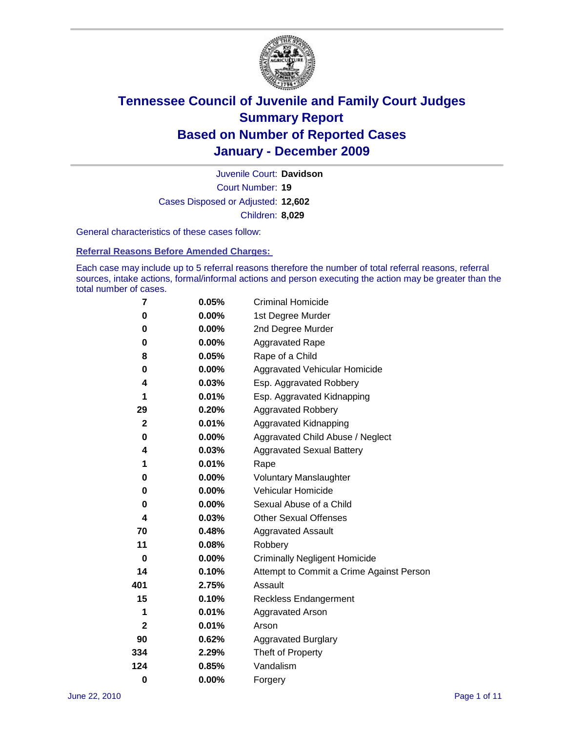

Court Number: **19** Juvenile Court: **Davidson** Cases Disposed or Adjusted: **12,602** Children: **8,029**

General characteristics of these cases follow:

**Referral Reasons Before Amended Charges:** 

Each case may include up to 5 referral reasons therefore the number of total referral reasons, referral sources, intake actions, formal/informal actions and person executing the action may be greater than the total number of cases.

| 7           | 0.05%    | <b>Criminal Homicide</b>                 |
|-------------|----------|------------------------------------------|
| 0           | 0.00%    | 1st Degree Murder                        |
| 0           | $0.00\%$ | 2nd Degree Murder                        |
| 0           | $0.00\%$ | <b>Aggravated Rape</b>                   |
| 8           | 0.05%    | Rape of a Child                          |
| 0           | 0.00%    | Aggravated Vehicular Homicide            |
| 4           | 0.03%    | Esp. Aggravated Robbery                  |
| 1           | 0.01%    | Esp. Aggravated Kidnapping               |
| 29          | 0.20%    | <b>Aggravated Robbery</b>                |
| $\mathbf 2$ | 0.01%    | Aggravated Kidnapping                    |
| 0           | 0.00%    | Aggravated Child Abuse / Neglect         |
| 4           | 0.03%    | <b>Aggravated Sexual Battery</b>         |
| 1           | 0.01%    | Rape                                     |
| 0           | $0.00\%$ | <b>Voluntary Manslaughter</b>            |
| 0           | 0.00%    | Vehicular Homicide                       |
| 0           | 0.00%    | Sexual Abuse of a Child                  |
| 4           | 0.03%    | <b>Other Sexual Offenses</b>             |
| 70          | 0.48%    | <b>Aggravated Assault</b>                |
| 11          | 0.08%    | Robbery                                  |
| 0           | $0.00\%$ | <b>Criminally Negligent Homicide</b>     |
| 14          | 0.10%    | Attempt to Commit a Crime Against Person |
| 401         | 2.75%    | Assault                                  |
| 15          | 0.10%    | <b>Reckless Endangerment</b>             |
| 1           | 0.01%    | <b>Aggravated Arson</b>                  |
| 2           | 0.01%    | Arson                                    |
| 90          | 0.62%    | <b>Aggravated Burglary</b>               |
| 334         | 2.29%    | Theft of Property                        |
| 124         | 0.85%    | Vandalism                                |
| $\bf{0}$    | 0.00%    | Forgery                                  |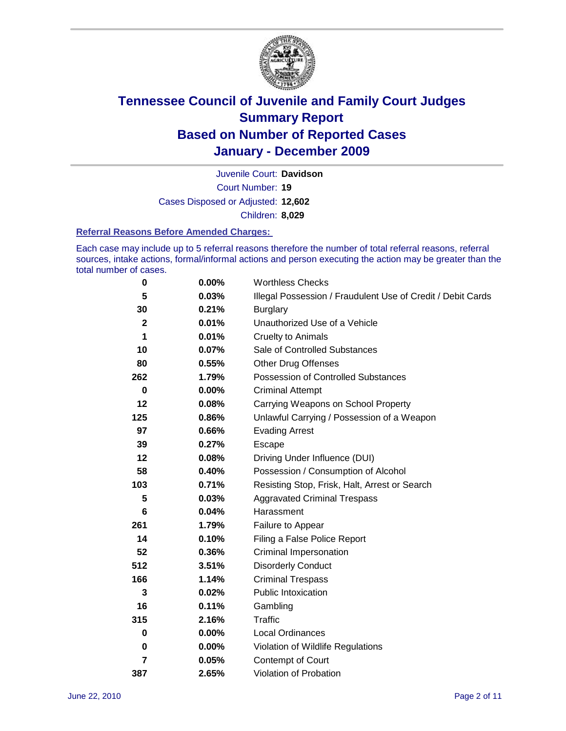

Court Number: **19** Juvenile Court: **Davidson** Cases Disposed or Adjusted: **12,602** Children: **8,029**

### **Referral Reasons Before Amended Charges:**

Each case may include up to 5 referral reasons therefore the number of total referral reasons, referral sources, intake actions, formal/informal actions and person executing the action may be greater than the total number of cases.

| $\pmb{0}$   | 0.00%    | <b>Worthless Checks</b>                                     |
|-------------|----------|-------------------------------------------------------------|
| 5           | 0.03%    | Illegal Possession / Fraudulent Use of Credit / Debit Cards |
| 30          | 0.21%    | <b>Burglary</b>                                             |
| $\mathbf 2$ | 0.01%    | Unauthorized Use of a Vehicle                               |
| 1           | 0.01%    | <b>Cruelty to Animals</b>                                   |
| 10          | 0.07%    | Sale of Controlled Substances                               |
| 80          | 0.55%    | <b>Other Drug Offenses</b>                                  |
| 262         | 1.79%    | Possession of Controlled Substances                         |
| $\pmb{0}$   | $0.00\%$ | <b>Criminal Attempt</b>                                     |
| 12          | 0.08%    | Carrying Weapons on School Property                         |
| 125         | 0.86%    | Unlawful Carrying / Possession of a Weapon                  |
| 97          | 0.66%    | <b>Evading Arrest</b>                                       |
| 39          | 0.27%    | Escape                                                      |
| 12          | 0.08%    | Driving Under Influence (DUI)                               |
| 58          | 0.40%    | Possession / Consumption of Alcohol                         |
| 103         | 0.71%    | Resisting Stop, Frisk, Halt, Arrest or Search               |
| 5           | 0.03%    | <b>Aggravated Criminal Trespass</b>                         |
| 6           | 0.04%    | Harassment                                                  |
| 261         | 1.79%    | Failure to Appear                                           |
| 14          | 0.10%    | Filing a False Police Report                                |
| 52          | 0.36%    | Criminal Impersonation                                      |
| 512         | 3.51%    | <b>Disorderly Conduct</b>                                   |
| 166         | 1.14%    | <b>Criminal Trespass</b>                                    |
| 3           | 0.02%    | <b>Public Intoxication</b>                                  |
| 16          | 0.11%    | Gambling                                                    |
| 315         | 2.16%    | Traffic                                                     |
| 0           | 0.00%    | <b>Local Ordinances</b>                                     |
| $\bf{0}$    | 0.00%    | Violation of Wildlife Regulations                           |
| 7           | 0.05%    | Contempt of Court                                           |
| 387         | 2.65%    | Violation of Probation                                      |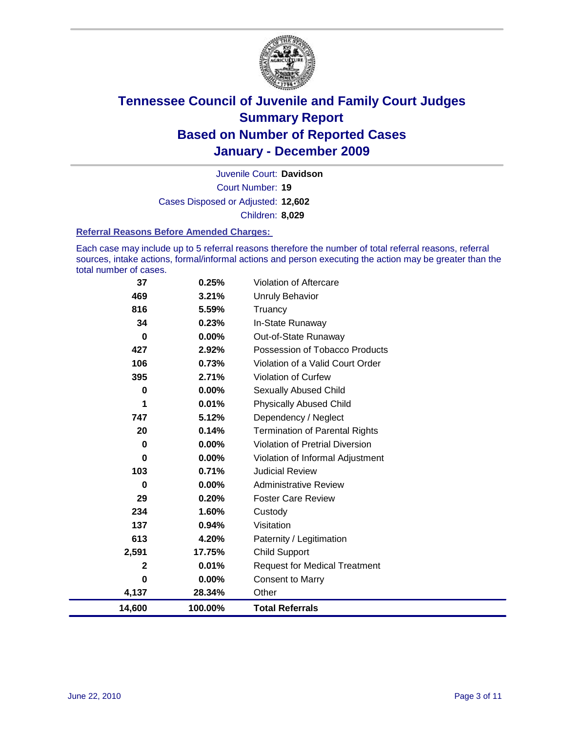

Court Number: **19** Juvenile Court: **Davidson** Cases Disposed or Adjusted: **12,602** Children: **8,029**

### **Referral Reasons Before Amended Charges:**

Each case may include up to 5 referral reasons therefore the number of total referral reasons, referral sources, intake actions, formal/informal actions and person executing the action may be greater than the total number of cases.

| 37       | 0.25%    | <b>Violation of Aftercare</b>          |
|----------|----------|----------------------------------------|
| 469      | 3.21%    | <b>Unruly Behavior</b>                 |
| 816      | 5.59%    | Truancy                                |
| 34       | 0.23%    | In-State Runaway                       |
| 0        | $0.00\%$ | Out-of-State Runaway                   |
| 427      | 2.92%    | Possession of Tobacco Products         |
| 106      | 0.73%    | Violation of a Valid Court Order       |
| 395      | 2.71%    | <b>Violation of Curfew</b>             |
| 0        | 0.00%    | <b>Sexually Abused Child</b>           |
| 1        | 0.01%    | <b>Physically Abused Child</b>         |
| 747      | 5.12%    | Dependency / Neglect                   |
| 20       | 0.14%    | <b>Termination of Parental Rights</b>  |
| 0        | 0.00%    | <b>Violation of Pretrial Diversion</b> |
| 0        | $0.00\%$ | Violation of Informal Adjustment       |
| 103      | 0.71%    | Judicial Review                        |
| 0        | $0.00\%$ | <b>Administrative Review</b>           |
| 29       | 0.20%    | <b>Foster Care Review</b>              |
| 234      | 1.60%    | Custody                                |
| 137      | 0.94%    | Visitation                             |
| 613      | 4.20%    | Paternity / Legitimation               |
| 2,591    | 17.75%   | <b>Child Support</b>                   |
| 2        | 0.01%    | <b>Request for Medical Treatment</b>   |
| $\bf{0}$ | $0.00\%$ | <b>Consent to Marry</b>                |
| 4,137    | 28.34%   | Other                                  |
| 14,600   | 100.00%  | <b>Total Referrals</b>                 |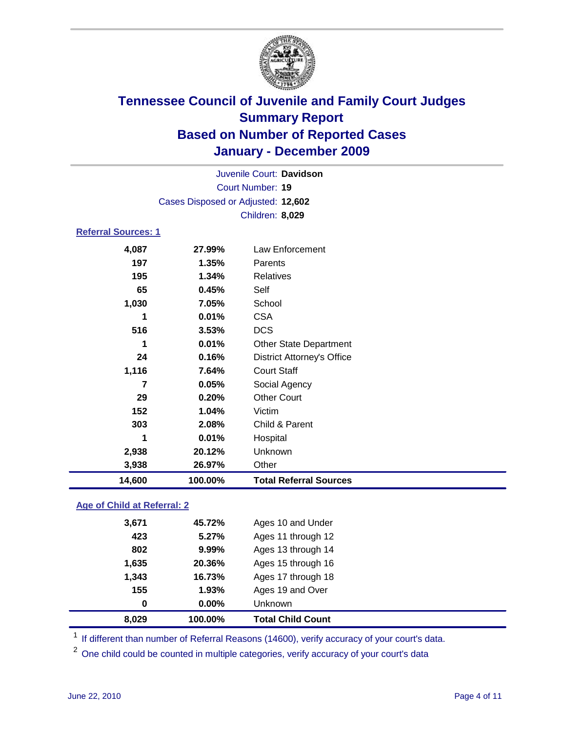

| 14,600                     | 100.00%                            | <b>Total Referral Sources</b>     |  |  |
|----------------------------|------------------------------------|-----------------------------------|--|--|
| 3,938                      | 26.97%                             | Other                             |  |  |
| 2,938                      | 20.12%                             | Unknown                           |  |  |
| 1                          | 0.01%                              | Hospital                          |  |  |
| 303                        | 2.08%                              | Child & Parent                    |  |  |
| 152                        | 1.04%                              | Victim                            |  |  |
| 29                         | 0.20%                              | <b>Other Court</b>                |  |  |
| 7                          | 0.05%                              | Social Agency                     |  |  |
| 1,116                      | 7.64%                              | <b>Court Staff</b>                |  |  |
| 24                         | 0.16%                              | <b>District Attorney's Office</b> |  |  |
| 1                          | 0.01%                              | <b>Other State Department</b>     |  |  |
| 516                        | 3.53%                              | <b>DCS</b>                        |  |  |
| 1                          | 0.01%                              | <b>CSA</b>                        |  |  |
| 1,030                      | 7.05%                              | School                            |  |  |
| 65                         | 0.45%                              | Self                              |  |  |
| 195                        | 1.34%                              | <b>Relatives</b>                  |  |  |
| 197                        | 1.35%                              | Parents                           |  |  |
| 4,087                      | 27.99%                             | Law Enforcement                   |  |  |
| <b>Referral Sources: 1</b> |                                    |                                   |  |  |
|                            |                                    | Children: 8,029                   |  |  |
|                            | Cases Disposed or Adjusted: 12,602 |                                   |  |  |
|                            | <b>Court Number: 19</b>            |                                   |  |  |
| Juvenile Court: Davidson   |                                    |                                   |  |  |
|                            |                                    |                                   |  |  |

### **Age of Child at Referral: 2**

| 8,029 | 100.00% | <b>Total Child Count</b> |
|-------|---------|--------------------------|
| 0     | 0.00%   | <b>Unknown</b>           |
| 155   | 1.93%   | Ages 19 and Over         |
| 1,343 | 16.73%  | Ages 17 through 18       |
| 1,635 | 20.36%  | Ages 15 through 16       |
| 802   | 9.99%   | Ages 13 through 14       |
| 423   | 5.27%   | Ages 11 through 12       |
| 3,671 | 45.72%  | Ages 10 and Under        |
|       |         |                          |

<sup>1</sup> If different than number of Referral Reasons (14600), verify accuracy of your court's data.

<sup>2</sup> One child could be counted in multiple categories, verify accuracy of your court's data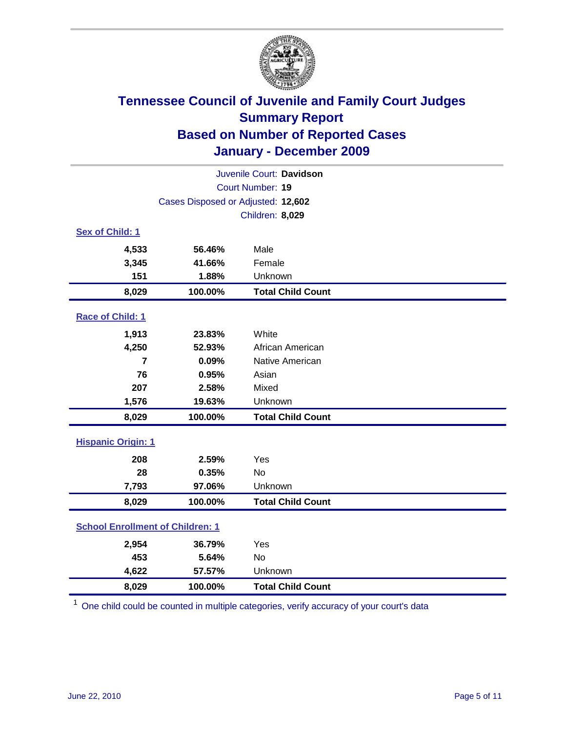

| Juvenile Court: Davidson                |                                    |                          |  |  |
|-----------------------------------------|------------------------------------|--------------------------|--|--|
|                                         | Court Number: 19                   |                          |  |  |
|                                         | Cases Disposed or Adjusted: 12,602 |                          |  |  |
|                                         |                                    | Children: 8,029          |  |  |
| Sex of Child: 1                         |                                    |                          |  |  |
| 4,533                                   | 56.46%                             | Male                     |  |  |
| 3,345                                   | 41.66%                             | Female                   |  |  |
| 151                                     | 1.88%                              | Unknown                  |  |  |
| 8,029                                   | 100.00%                            | <b>Total Child Count</b> |  |  |
| Race of Child: 1                        |                                    |                          |  |  |
| 1,913                                   | 23.83%                             | White                    |  |  |
| 4,250                                   | 52.93%                             | African American         |  |  |
| 7                                       | 0.09%                              | Native American          |  |  |
| 76                                      | 0.95%                              | Asian                    |  |  |
| 207                                     | 2.58%                              | Mixed                    |  |  |
| 1,576                                   | 19.63%                             | Unknown                  |  |  |
| 8,029                                   | 100.00%                            | <b>Total Child Count</b> |  |  |
| <b>Hispanic Origin: 1</b>               |                                    |                          |  |  |
| 208                                     | 2.59%                              | Yes                      |  |  |
| 28                                      | 0.35%                              | <b>No</b>                |  |  |
| 7,793                                   | 97.06%                             | Unknown                  |  |  |
| 8,029                                   | 100.00%                            | <b>Total Child Count</b> |  |  |
| <b>School Enrollment of Children: 1</b> |                                    |                          |  |  |
| 2,954                                   | 36.79%                             | Yes                      |  |  |
| 453                                     | 5.64%                              | <b>No</b>                |  |  |
| 4,622                                   | 57.57%                             | Unknown                  |  |  |
| 8,029                                   | 100.00%                            | <b>Total Child Count</b> |  |  |

<sup>1</sup> One child could be counted in multiple categories, verify accuracy of your court's data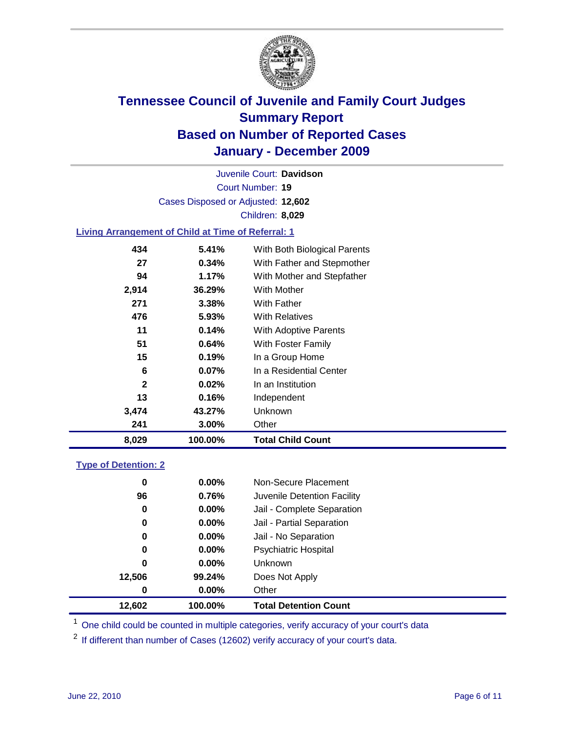

Court Number: **19** Juvenile Court: **Davidson** Cases Disposed or Adjusted: **12,602** Children: **8,029**

### **Living Arrangement of Child at Time of Referral: 1**

| 8,029        | 100.00%  | <b>Total Child Count</b>     |
|--------------|----------|------------------------------|
| 241          | 3.00%    | Other                        |
| 3,474        | 43.27%   | Unknown                      |
| 13           | 0.16%    | Independent                  |
| $\mathbf{2}$ | 0.02%    | In an Institution            |
| 6            | $0.07\%$ | In a Residential Center      |
| 15           | 0.19%    | In a Group Home              |
| 51           | 0.64%    | With Foster Family           |
| 11           | 0.14%    | With Adoptive Parents        |
| 476          | $5.93\%$ | <b>With Relatives</b>        |
| 271          | 3.38%    | With Father                  |
| 2,914        | 36.29%   | <b>With Mother</b>           |
| 94           | 1.17%    | With Mother and Stepfather   |
| 27           | $0.34\%$ | With Father and Stepmother   |
| 434          | 5.41%    | With Both Biological Parents |
|              |          |                              |

### **Type of Detention: 2**

| 12,602 | 100.00%  | <b>Total Detention Count</b> |
|--------|----------|------------------------------|
| 0      | $0.00\%$ | Other                        |
| 12,506 | 99.24%   | Does Not Apply               |
| 0      | $0.00\%$ | Unknown                      |
| 0      | 0.00%    | <b>Psychiatric Hospital</b>  |
| 0      | 0.00%    | Jail - No Separation         |
| 0      | $0.00\%$ | Jail - Partial Separation    |
| 0      | 0.00%    | Jail - Complete Separation   |
| 96     | 0.76%    | Juvenile Detention Facility  |
| 0      | $0.00\%$ | Non-Secure Placement         |
|        |          |                              |

<sup>1</sup> One child could be counted in multiple categories, verify accuracy of your court's data

<sup>2</sup> If different than number of Cases (12602) verify accuracy of your court's data.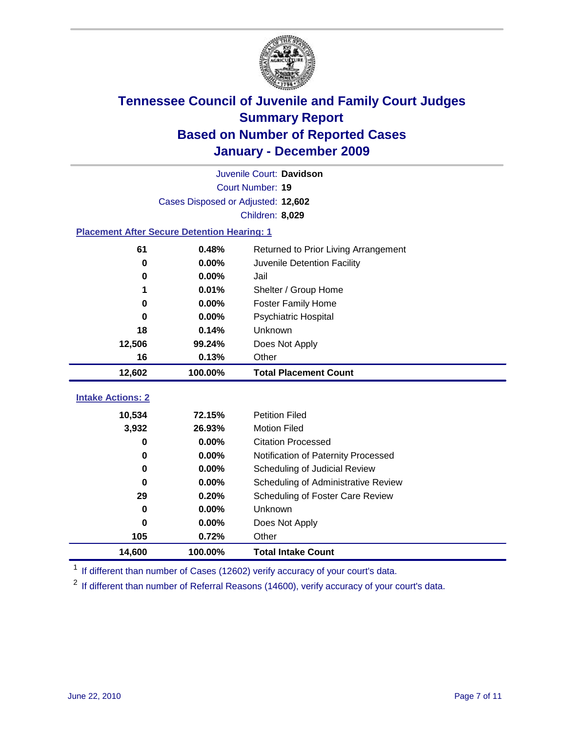

|                                                    | Juvenile Court: Davidson           |                                      |  |  |  |
|----------------------------------------------------|------------------------------------|--------------------------------------|--|--|--|
|                                                    | Court Number: 19                   |                                      |  |  |  |
|                                                    | Cases Disposed or Adjusted: 12,602 |                                      |  |  |  |
|                                                    |                                    | Children: 8,029                      |  |  |  |
| <b>Placement After Secure Detention Hearing: 1</b> |                                    |                                      |  |  |  |
| 61                                                 | 0.48%                              | Returned to Prior Living Arrangement |  |  |  |
| $\bf{0}$                                           | 0.00%                              | Juvenile Detention Facility          |  |  |  |
| 0                                                  | 0.00%                              | Jail                                 |  |  |  |
| 1                                                  | 0.01%                              | Shelter / Group Home                 |  |  |  |
| 0                                                  | 0.00%                              | <b>Foster Family Home</b>            |  |  |  |
| 0                                                  | 0.00%                              | Psychiatric Hospital                 |  |  |  |
| 18                                                 | 0.14%                              | Unknown                              |  |  |  |
| 12,506                                             | 99.24%                             | Does Not Apply                       |  |  |  |
| 16                                                 | 0.13%                              | Other                                |  |  |  |
| 12,602                                             | 100.00%                            | <b>Total Placement Count</b>         |  |  |  |
| <b>Intake Actions: 2</b>                           |                                    |                                      |  |  |  |
|                                                    |                                    |                                      |  |  |  |
| 10,534                                             | 72.15%                             | <b>Petition Filed</b>                |  |  |  |
| 3,932                                              | 26.93%                             | <b>Motion Filed</b>                  |  |  |  |
| $\bf{0}$                                           | 0.00%                              | <b>Citation Processed</b>            |  |  |  |
| 0                                                  | 0.00%                              | Notification of Paternity Processed  |  |  |  |
| $\bf{0}$                                           | 0.00%                              | Scheduling of Judicial Review        |  |  |  |
| $\bf{0}$                                           | 0.00%                              | Scheduling of Administrative Review  |  |  |  |
| 29                                                 | 0.20%                              | Scheduling of Foster Care Review     |  |  |  |
| $\bf{0}$                                           | 0.00%                              | Unknown                              |  |  |  |
| $\bf{0}$                                           | 0.00%                              | Does Not Apply                       |  |  |  |
| 105                                                | 0.72%                              | Other                                |  |  |  |
| 14,600                                             | 100.00%                            | <b>Total Intake Count</b>            |  |  |  |

<sup>1</sup> If different than number of Cases (12602) verify accuracy of your court's data.

<sup>2</sup> If different than number of Referral Reasons (14600), verify accuracy of your court's data.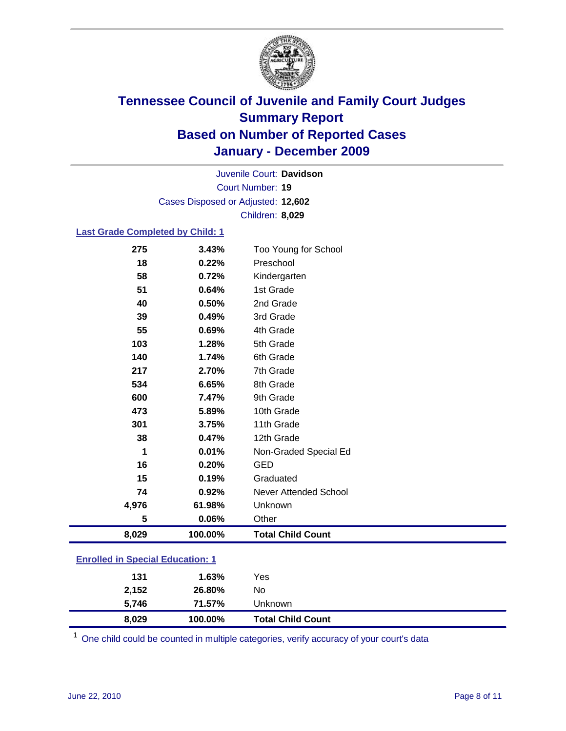

Court Number: **19** Juvenile Court: **Davidson** Cases Disposed or Adjusted: **12,602** Children: **8,029**

### **Last Grade Completed by Child: 1**

| 275                                     | 3.43%   | Too Young for School         |  |
|-----------------------------------------|---------|------------------------------|--|
| 18                                      | 0.22%   | Preschool                    |  |
| 58                                      | 0.72%   | Kindergarten                 |  |
| 51                                      | 0.64%   | 1st Grade                    |  |
| 40                                      | 0.50%   | 2nd Grade                    |  |
| 39                                      | 0.49%   | 3rd Grade                    |  |
| 55                                      | 0.69%   | 4th Grade                    |  |
| 103                                     | 1.28%   | 5th Grade                    |  |
| 140                                     | 1.74%   | 6th Grade                    |  |
| 217                                     | 2.70%   | 7th Grade                    |  |
| 534                                     | 6.65%   | 8th Grade                    |  |
| 600                                     | 7.47%   | 9th Grade                    |  |
| 473                                     | 5.89%   | 10th Grade                   |  |
| 301                                     | 3.75%   | 11th Grade                   |  |
| 38                                      | 0.47%   | 12th Grade                   |  |
| 1                                       | 0.01%   | Non-Graded Special Ed        |  |
| 16                                      | 0.20%   | <b>GED</b>                   |  |
| 15                                      | 0.19%   | Graduated                    |  |
| 74                                      | 0.92%   | <b>Never Attended School</b> |  |
| 4,976                                   | 61.98%  | Unknown                      |  |
| 5                                       | 0.06%   | Other                        |  |
| 8,029                                   | 100.00% | <b>Total Child Count</b>     |  |
| <b>Enrolled in Special Education: 1</b> |         |                              |  |

 $1$  One child could be counted in multiple categories, verify accuracy of your court's data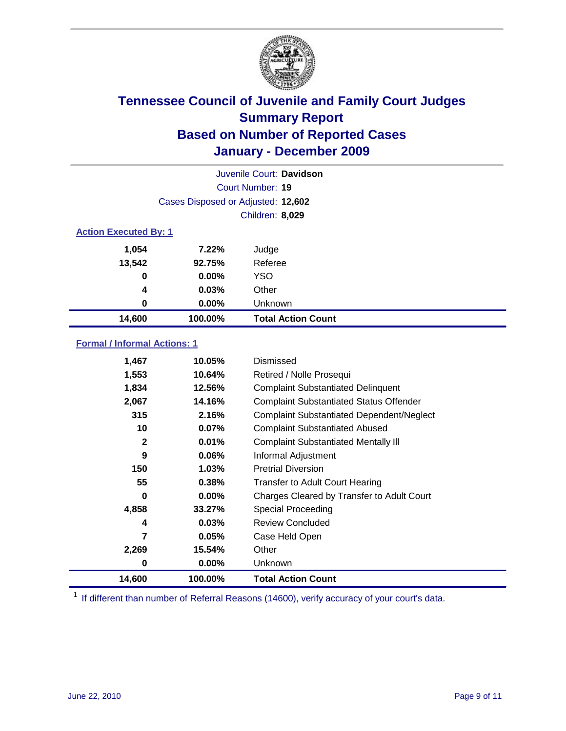

| Juvenile Court: Davidson     |                                    |                           |  |  |
|------------------------------|------------------------------------|---------------------------|--|--|
|                              | Court Number: 19                   |                           |  |  |
|                              | Cases Disposed or Adjusted: 12,602 |                           |  |  |
|                              | <b>Children: 8,029</b>             |                           |  |  |
| <b>Action Executed By: 1</b> |                                    |                           |  |  |
| 1,054                        | 7.22%                              | Judge                     |  |  |
| 13,542                       | 92.75%                             | Referee                   |  |  |
| 0                            | $0.00\%$                           | <b>YSO</b>                |  |  |
| 4                            | 0.03%                              | Other                     |  |  |
| 0                            | 0.00%                              | Unknown                   |  |  |
| 14,600                       | 100.00%                            | <b>Total Action Count</b> |  |  |

### **Formal / Informal Actions: 1**

| 1,467        | 10.05%   | Dismissed                                        |
|--------------|----------|--------------------------------------------------|
| 1,553        | 10.64%   | Retired / Nolle Prosequi                         |
| 1,834        | 12.56%   | <b>Complaint Substantiated Delinquent</b>        |
| 2,067        | 14.16%   | <b>Complaint Substantiated Status Offender</b>   |
| 315          | 2.16%    | <b>Complaint Substantiated Dependent/Neglect</b> |
| 10           | 0.07%    | <b>Complaint Substantiated Abused</b>            |
| $\mathbf{2}$ | 0.01%    | <b>Complaint Substantiated Mentally III</b>      |
| 9            | $0.06\%$ | Informal Adjustment                              |
| 150          | $1.03\%$ | <b>Pretrial Diversion</b>                        |
| 55           | 0.38%    | <b>Transfer to Adult Court Hearing</b>           |
| 0            | $0.00\%$ | Charges Cleared by Transfer to Adult Court       |
| 4,858        | 33.27%   | Special Proceeding                               |
| 4            | 0.03%    | <b>Review Concluded</b>                          |
| 7            | 0.05%    | Case Held Open                                   |
| 2,269        | 15.54%   | Other                                            |
| 0            | $0.00\%$ | Unknown                                          |
| 14,600       | 100.00%  | <b>Total Action Count</b>                        |

<sup>1</sup> If different than number of Referral Reasons (14600), verify accuracy of your court's data.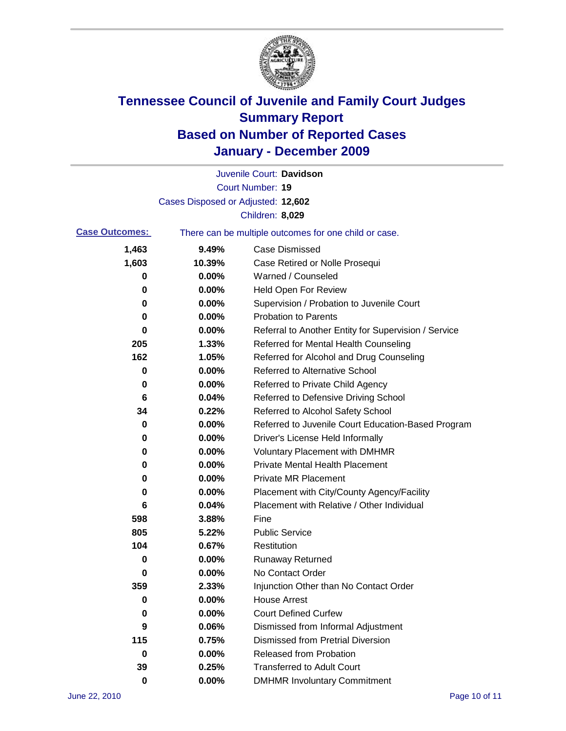

|                       |                                    | Juvenile Court: Davidson                              |
|-----------------------|------------------------------------|-------------------------------------------------------|
|                       |                                    | Court Number: 19                                      |
|                       | Cases Disposed or Adjusted: 12,602 |                                                       |
|                       |                                    | Children: 8,029                                       |
| <b>Case Outcomes:</b> |                                    | There can be multiple outcomes for one child or case. |
| 1,463                 | 9.49%                              | <b>Case Dismissed</b>                                 |
| 1,603                 | 10.39%                             | Case Retired or Nolle Prosequi                        |
| 0                     | 0.00%                              | Warned / Counseled                                    |
| 0                     | 0.00%                              | <b>Held Open For Review</b>                           |
| 0                     | 0.00%                              | Supervision / Probation to Juvenile Court             |
| 0                     | 0.00%                              | <b>Probation to Parents</b>                           |
| 0                     | 0.00%                              | Referral to Another Entity for Supervision / Service  |
| 205                   | 1.33%                              | Referred for Mental Health Counseling                 |
| 162                   | 1.05%                              | Referred for Alcohol and Drug Counseling              |
| 0                     | 0.00%                              | <b>Referred to Alternative School</b>                 |
| 0                     | 0.00%                              | Referred to Private Child Agency                      |
| 6                     | 0.04%                              | Referred to Defensive Driving School                  |
| 34                    | 0.22%                              | Referred to Alcohol Safety School                     |
| 0                     | 0.00%                              | Referred to Juvenile Court Education-Based Program    |
| 0                     | 0.00%                              | Driver's License Held Informally                      |
| 0                     | 0.00%                              | <b>Voluntary Placement with DMHMR</b>                 |
| 0                     | 0.00%                              | <b>Private Mental Health Placement</b>                |
| 0                     | 0.00%                              | <b>Private MR Placement</b>                           |
| 0                     | 0.00%                              | Placement with City/County Agency/Facility            |
| 6                     | 0.04%                              | Placement with Relative / Other Individual            |
| 598                   | 3.88%                              | Fine                                                  |
| 805                   | 5.22%                              | <b>Public Service</b>                                 |
| 104                   | 0.67%                              | Restitution                                           |
| 0                     | 0.00%                              | <b>Runaway Returned</b>                               |
| 0                     | 0.00%                              | No Contact Order                                      |
| 359                   | 2.33%                              | Injunction Other than No Contact Order                |
| 0                     | 0.00%                              | <b>House Arrest</b>                                   |
| 0                     | 0.00%                              | <b>Court Defined Curfew</b>                           |
| 9                     | 0.06%                              | Dismissed from Informal Adjustment                    |
| 115                   | 0.75%                              | <b>Dismissed from Pretrial Diversion</b>              |
| 0                     | 0.00%                              | <b>Released from Probation</b>                        |
| 39                    | 0.25%                              | <b>Transferred to Adult Court</b>                     |
| 0                     | $0.00\%$                           | <b>DMHMR Involuntary Commitment</b>                   |